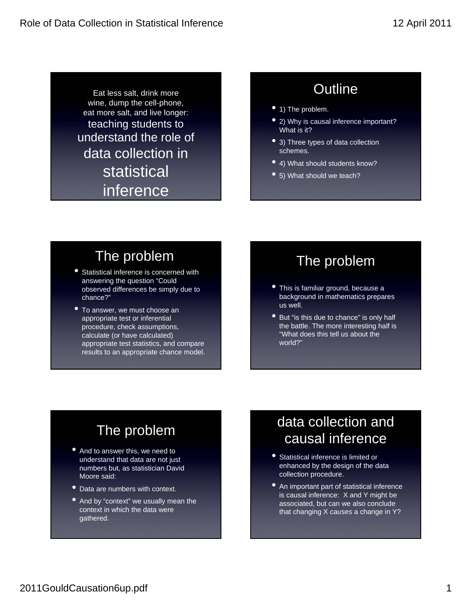Eat less salt, drink more wine, dump the cell-phone, eat more salt, and live longer: teaching students to understand the role of data collection in statistical inference

### **Outline**

- 1) The problem.
- 2) Why is causal inference important? What is it?
- 3) Three types of data collection schemes.
- 4) What should students know?
- 5) What should we teach?

### The problem

- Statistical inference is concerned with answering the question "Could observed differences be simply due to chance?"
- To answer, we must choose an appropriate test or inferential procedure, check assumptions, calculate (or have calculated) appropriate test statistics, and compare results to an appropriate chance model.

#### The problem

- This is familiar ground, because a background in mathematics prepares us well.
- But "is this due to chance" is only half the battle. The more interesting half is "What does this tell us about the world?"

# The problem

- And to answer this, we need to understand that data are not just numbers but, as statistician David Moore said:
- Data are numbers with context.
- And by "context" we usually mean the context in which the data were gathered.

### data collection and causal inference

- Statistical inference is limited or enhanced by the design of the data collection procedure.
- An important part of statistical inference is causal inference: X and Y might be associated, but can we also conclude that changing X *causes* a change in Y?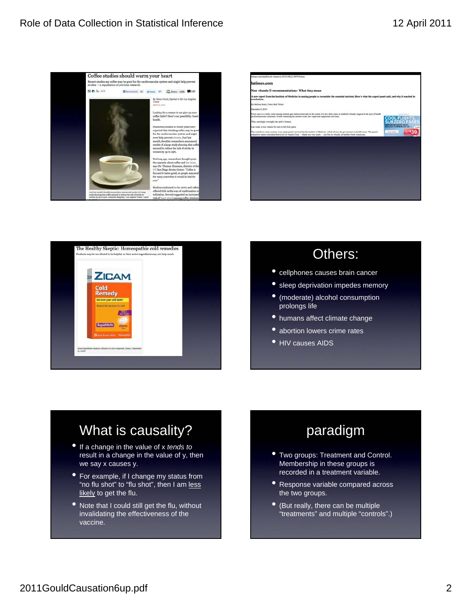





#### Others:

- cellphones causes brain cancer
- sleep deprivation impedes memory
- (moderate) alcohol consumption prolongs life
- humans affect climate change
- **•** abortion lowers crime rates
- **HIV causes AIDS**

### What is causality?

- If a change in the value of x *tends to* result in a change in the value of y, then we say x causes y.
- For example, if I change my status from "no flu shot" to "flu shot", then I am less likely to get the flu.
- Note that I could still get the flu, without invalidating the effectiveness of the vaccine.

### paradigm

- Two groups: Treatment and Control. Membership in these groups is recorded in a treatment variable.
- **Response variable compared across** the two groups.
- (But really, there can be multiple "treatments" and multiple "controls".)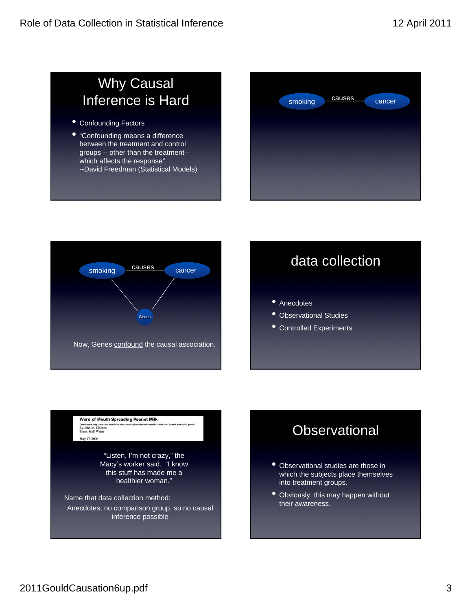## Why Causal Inference is Hard

- Confounding Factors
- "Confounding means a difference between the treatment and control groups -- other than the treatment- which affects the response" --David Freedman (Statistical Models)





## data collection

- Anecdotes
- Observational Studies
- Controlled Experiments

Word of Mouth Spreading Peanut Milk Customers say they can<br>By John M. Glionna<br>Times Staff Writer May 17, 2006

> "Listen, I'm not crazy," the Macy's worker said. "I know this stuff has made me a healthier woman."

Name that data collection method:

Anecdotes; no comparison group, so no causal inference possible

#### **Observational**

- Observational studies are those in which the subjects place themselves into treatment groups.
- Obviously, this may happen without their awareness.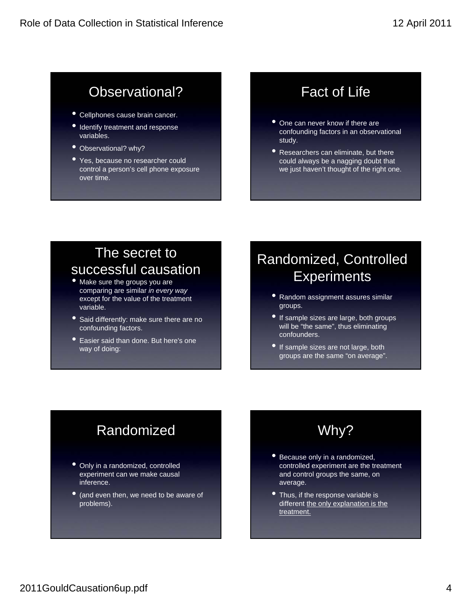## Observational?

- Cellphones cause brain cancer.
- Identify treatment and response variables.
- Observational? why?
- Yes, because no researcher could control a person's cell phone exposure over time.

# Fact of Life

- One can never know if there are confounding factors in an observational study.
- Researchers can eliminate, but there could always be a nagging doubt that we just haven't thought of the right one.

#### The secret to successful causation

- Make sure the groups you are comparing are similar *in every way* except for the value of the treatment variable.
- Said differently: make sure there are no confounding factors.
- Easier said than done. But here's one way of doing:

## Randomized, Controlled **Experiments**

- Random assignment assures similar groups.
- If sample sizes are large, both groups will be "the same", thus eliminating confounders.
- If sample sizes are not large, both groups are the same "on average".

# Randomized

- Only in a randomized, controlled experiment can we make causal inference.
- (and even then, we need to be aware of problems).

## Why?

- Because only in a randomized, controlled experiment are the treatment and control groups the same, on average.
- Thus, if the response variable is different the only explanation is the treatment.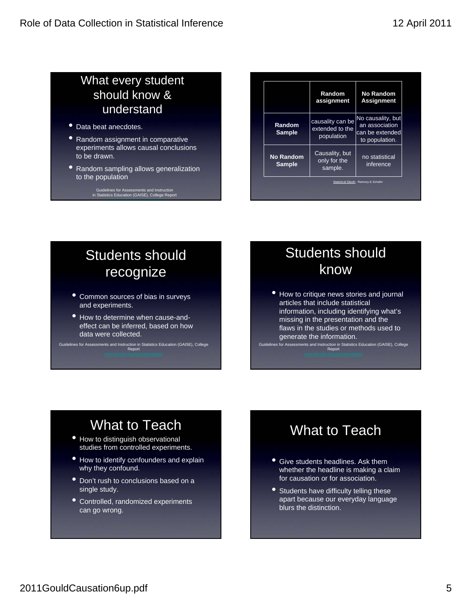#### What every student should know & understand

- Data beat anecdotes.
- Random assignment in comparative experiments allows causal conclusions to be drawn.
- **Random sampling allows generalization** to the population
	- Guidelines for Assessments and Instruction<br>in Statistics Education (GAISE), College Report<br>.

|                                      | Random<br>assignment                              | <b>No Random</b><br><b>Assignment</b>                                    |
|--------------------------------------|---------------------------------------------------|--------------------------------------------------------------------------|
| Random<br><b>Sample</b>              | causality can be<br>extended to the<br>population | No causality, but<br>an association<br>can be extended<br>to population. |
| No Random<br><b>Sample</b>           | Causality, but<br>only for the<br>sample.         | no statistical<br>inference                                              |
| Statistical Sleuth. Ramsey & Schafer |                                                   |                                                                          |

## Students should recognize

- Common sources of bias in surveys and experiments.
- How to determine when cause-andeffect can be inferred, based on how data were collected.

Guidelines for Assessments and Instruction in Statistics Education (GAISE), College Report

## Students should know

• How to critique news stories and journal articles that include statistical information, including identifying what's missing in the presentation and the flaws in the studies or methods used to generate the information.

Guidelines for Assessments and Instruction in Statistics Education (GAISE), College Report

## What to Teach

- **How to distinguish observational** studies from controlled experiments.
- How to identify confounders and explain why they confound.
- Don't rush to conclusions based on a single study.
- Controlled, randomized experiments can go wrong.

## What to Teach

- Give students headlines. Ask them whether the headline is making a claim for causation or for association.
- Students have difficulty telling these apart because our everyday language blurs the distinction.